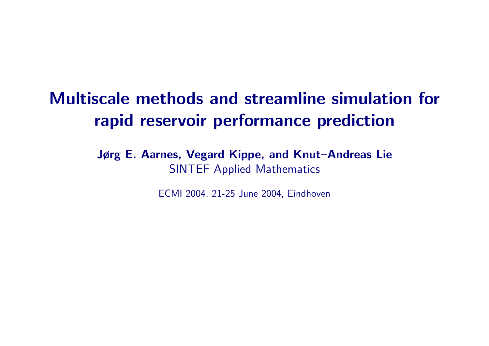# Multiscale methods and streamline simulation for rapid reservoir performance prediction

Jørg E. Aarnes, Vegard Kippe, and Knut–Andreas Lie SINTEF Applied Mathematics

ECMI 2004, 21-25 June 2004, Eindhoven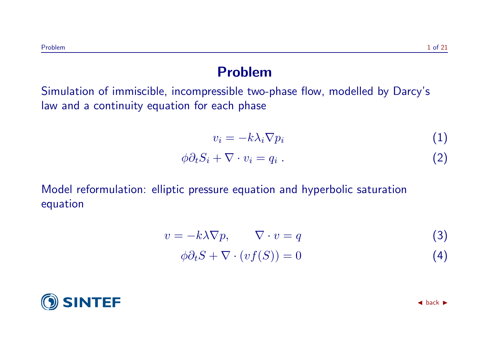#### Problem

Simulation of immiscible, incompressible two-phase flow, modelled by Darcy's law and a continuity equation for each phase

$$
v_i = -k\lambda_i \nabla p_i \tag{1}
$$

$$
\phi \partial_t S_i + \nabla \cdot v_i = q_i \tag{2}
$$

Model reformulation: elliptic pressure equation and hyperbolic saturation equation

$$
v = -k\lambda \nabla p, \qquad \nabla \cdot v = q \tag{3}
$$

$$
\phi \partial_t S + \nabla \cdot (vf(S)) = 0 \tag{4}
$$

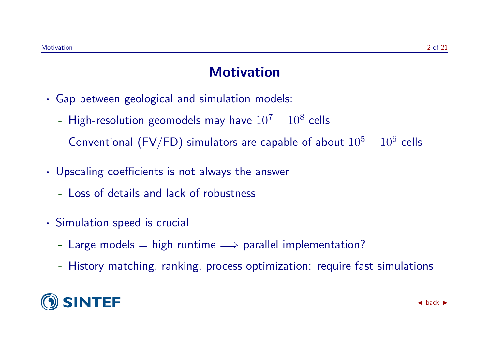### **Motivation**

- · Gap between geological and simulation models:
	- High-resolution geomodels may have  $10^7-10^8$  cells
	- Conventional (FV/FD) simulators are capable of about  $10^5-10^6$  cells
- · Upscaling coefficients is not always the answer
	- Loss of details and lack of robustness
- · Simulation speed is crucial
	- Large models  $=$  high runtime  $\implies$  parallel implementation?
	- History matching, ranking, process optimization: require fast simulations

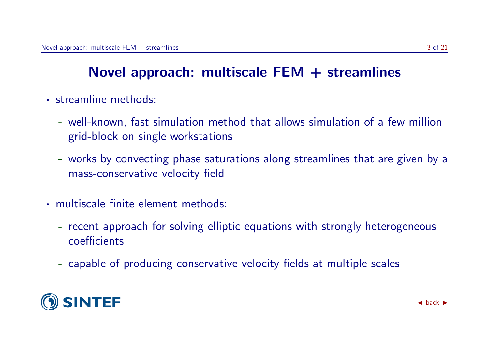## Novel approach: multiscale  $FEM +$  streamlines

- · streamline methods:
	- well-known, fast simulation method that allows simulation of a few million grid-block on single workstations
	- works by convecting phase saturations along streamlines that are given by a mass-conservative velocity field
- · multiscale finite element methods:
	- recent approach for solving elliptic equations with strongly heterogeneous coefficients
	- capable of producing conservative velocity fields at multiple scales

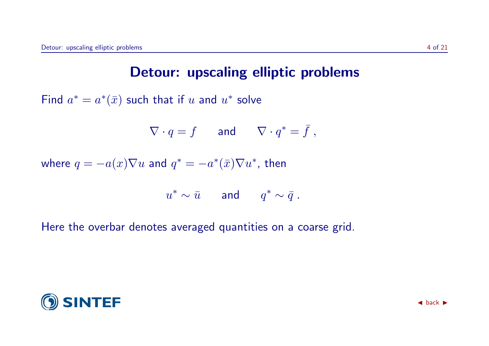### Detour: upscaling elliptic problems

Find  $a^* = a^*(\bar{x})$  such that if  $u$  and  $u^*$  solve

$$
\nabla \cdot q = f \qquad \text{and} \qquad \nabla \cdot q^* = \bar{f} \ ,
$$

where  $q = -a(x)\nabla u$  and  $q^* = -a^*(\bar{x})\nabla u^*$ , then

$$
u^* \sim \bar{u} \quad \text{and} \quad q^* \sim \bar{q} \ .
$$

Here the overbar denotes averaged quantities on a coarse grid.

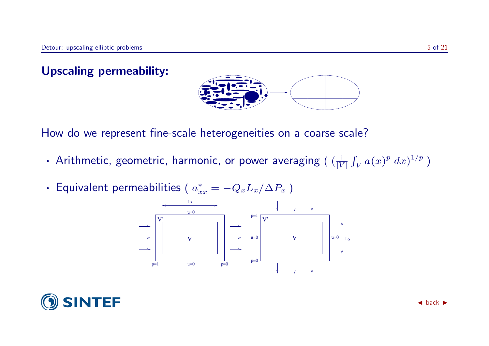Upscaling permeability:



How do we represent fine-scale heterogeneities on a coarse scale?

- Arithmetic, geometric, harmonic, or power averaging (  $(\frac{1}{|V|})$  $\frac{1}{|V|}\int_V a(x)^p\ dx)^{1/p}$  )
- Equivalent permeabilities (  $a_x^*$  $x^*_{xx} = -Q_xL_x/\Delta P_x$ )



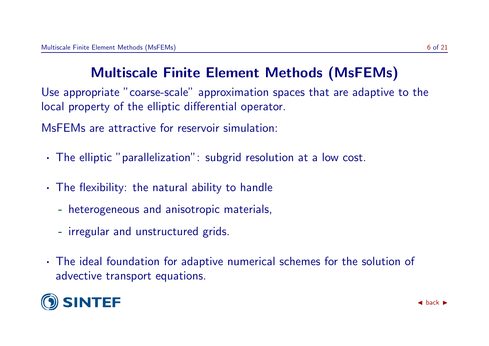# Multiscale Finite Element Methods (MsFEMs)

Use appropriate "coarse-scale" approximation spaces that are adaptive to the local property of the elliptic differential operator.

MsFEMs are attractive for reservoir simulation:

- · The elliptic "parallelization": subgrid resolution at a low cost.
- · The flexibility: the natural ability to handle
	- heterogeneous and anisotropic materials,
	- irregular and unstructured grids.
- · The ideal foundation for adaptive numerical schemes for the solution of advective transport equations.

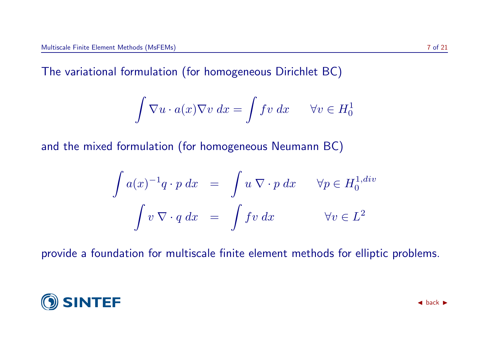The variational formulation (for homogeneous Dirichlet BC)

$$
\int \nabla u \cdot a(x) \nabla v \, dx = \int f v \, dx \qquad \forall v \in H_0^1
$$

and the mixed formulation (for homogeneous Neumann BC)

$$
\int a(x)^{-1}q \cdot p \, dx = \int u \, \nabla \cdot p \, dx \quad \forall p \in H_0^{1, div}
$$

$$
\int v \, \nabla \cdot q \, dx = \int fv \, dx \quad \forall v \in L^2
$$

provide a foundation for multiscale finite element methods for elliptic problems.

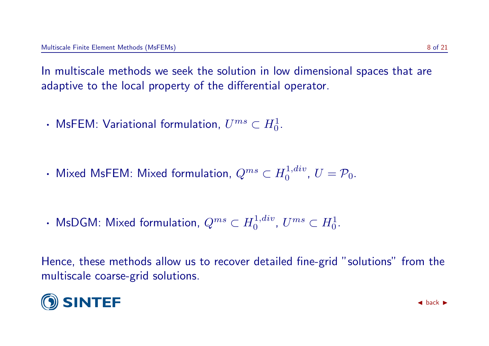In multiscale methods we seek the solution in low dimensional spaces that are adaptive to the local property of the differential operator.

- MsFEM: Variational formulation,  $U^{ms}\subset H^1_0.$
- Mixed MsFEM: Mixed formulation,  $Q^{ms}\subset H_0^{1,div}$  $0^{1, div}, U = \mathcal{P}_0.$
- MsDGM: Mixed formulation,  $Q^{ms}\subset H_0^{1,div}$  $0^{1,div}$ ,  $U^{ms} \subset H_0^1$ .

Hence, these methods allow us to recover detailed fine-grid "solutions" from the multiscale coarse-grid solutions.

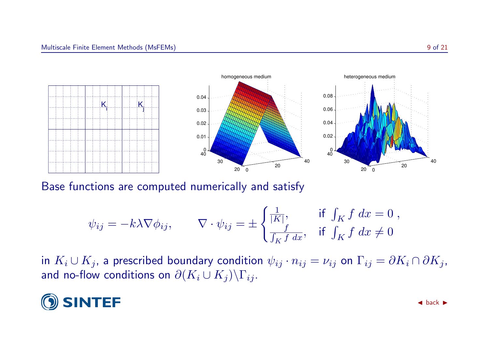

Base functions are computed numerically and satisfy

$$
\psi_{ij} = -k\lambda \nabla \phi_{ij}, \qquad \nabla \cdot \psi_{ij} = \pm \begin{cases} \frac{1}{|K|}, & \text{if } \int_K f \, dx = 0 \\ \frac{f}{\int_K f \, dx}, & \text{if } \int_K f \, dx \neq 0 \end{cases}
$$

in  $K_i \cup K_j$ , a prescribed boundary condition  $\psi_{ij} \cdot n_{ij} = \nu_{ij}$  on  $\Gamma_{ij} = \partial K_i \cap \partial K_j$ , and no-flow conditions on  $\partial (K_i \cup K_j)\backslash \Gamma_{ij}$ .

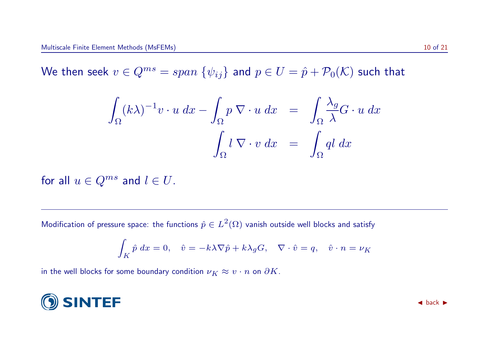We then seek  $v \in Q^{ms} = span \{\psi_{ij}\}\$ and  $p \in U = \hat{p} + \mathcal{P}_0(\mathcal{K})$  such that

$$
\int_{\Omega} (k\lambda)^{-1} v \cdot u \, dx - \int_{\Omega} p \, \nabla \cdot u \, dx = \int_{\Omega} \frac{\lambda_g}{\lambda} G \cdot u \, dx
$$

$$
\int_{\Omega} l \, \nabla \cdot v \, dx = \int_{\Omega} q l \, dx
$$

for all  $u \in Q^{ms}$  and  $l \in U$ .

Modification of pressure space: the functions  $\hat{p} \in L^2(\Omega)$  vanish outside well blocks and satisfy

$$
\int_K \hat{p} \, dx = 0, \quad \hat{v} = -k\lambda \nabla \hat{p} + k\lambda_g G, \quad \nabla \cdot \hat{v} = q, \quad \hat{v} \cdot n = \nu_K
$$

in the well blocks for some boundary condition  $\nu_K \approx v \cdot n$  on  $\partial K$ .

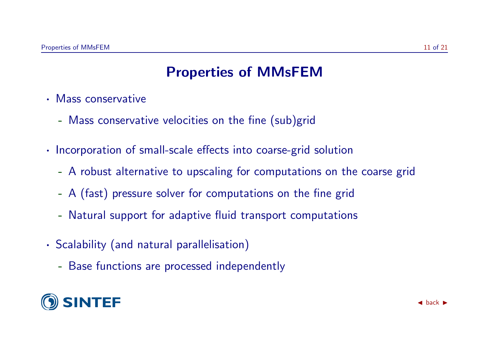### Properties of MMsFEM

- · Mass conservative
	- Mass conservative velocities on the fine (sub)grid
- · Incorporation of small-scale effects into coarse-grid solution
	- A robust alternative to upscaling for computations on the coarse grid
	- A (fast) pressure solver for computations on the fine grid
	- Natural support for adaptive fluid transport computations
- · Scalability (and natural parallelisation)
	- Base functions are processed independently

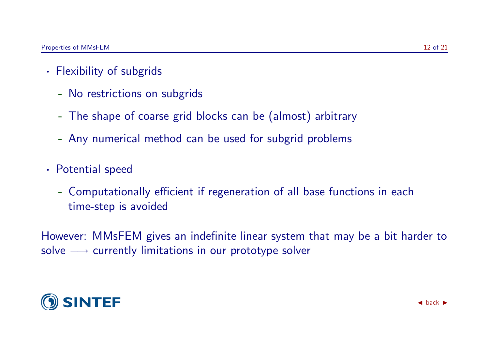- · Flexibility of subgrids
	- No restrictions on subgrids
	- The shape of coarse grid blocks can be (almost) arbitrary
	- Any numerical method can be used for subgrid problems
- · Potential speed
	- Computationally efficient if regeneration of all base functions in each time-step is avoided

However: MMsFEM gives an indefinite linear system that may be a bit harder to solve  $→$  currently limitations in our prototype solver

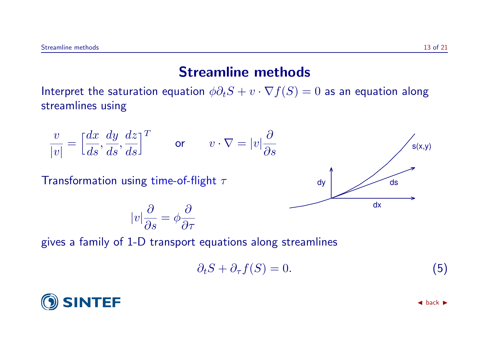### Streamline methods

Interpret the saturation equation  $\phi \partial_t S + v \cdot \nabla f(S) = 0$  as an equation along streamlines using

$$
\frac{v}{|v|} = \left[\frac{dx}{ds}, \frac{dy}{ds}, \frac{dz}{ds}\right]^T \quad \text{or} \quad v \cdot \nabla = |v|\frac{\partial}{\partial s}
$$

Transformation using time-of-flight  $\tau$ 

$$
|v|\frac{\partial}{\partial s} = \phi \frac{\partial}{\partial \tau}
$$

gives a family of 1-D transport equations along streamlines

$$
\partial_t S + \partial_\tau f(S) = 0. \tag{5}
$$



<span id="page-13-0"></span>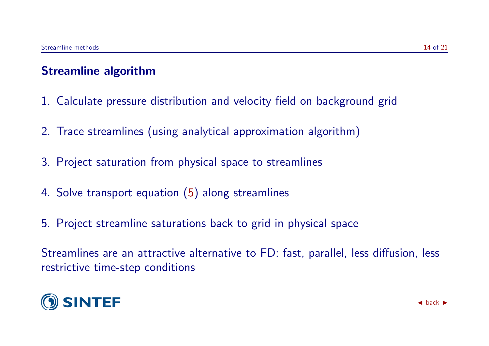#### Streamline algorithm

- 1. Calculate pressure distribution and velocity field on background grid
- 2. Trace streamlines (using analytical approximation algorithm)
- 3. Project saturation from physical space to streamlines
- 4. Solve transport equation [\(5\)](#page-13-0) along streamlines
- 5. Project streamline saturations back to grid in physical space

Streamlines are an attractive alternative to FD: fast, parallel, less diffusion, less restrictive time-step conditions

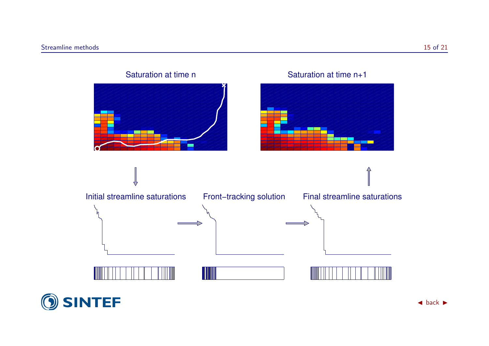

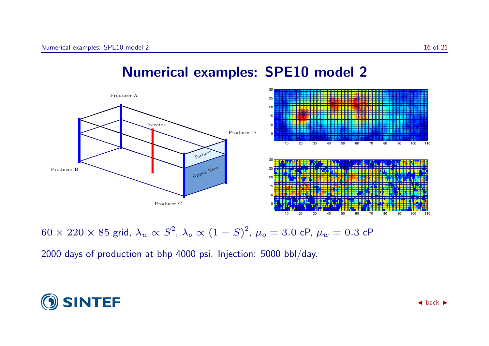

### Numerical examples: SPE10 model 2

 $60\times220\times85$  grid,  $\lambda_w\propto S^2$ ,  $\lambda_o\propto(1-S)^2$ ,  $\mu_o=3.0$  cP,  $\mu_w=0.3$  cP

2000 days of production at bhp 4000 psi. Injection: 5000 bbl/day.

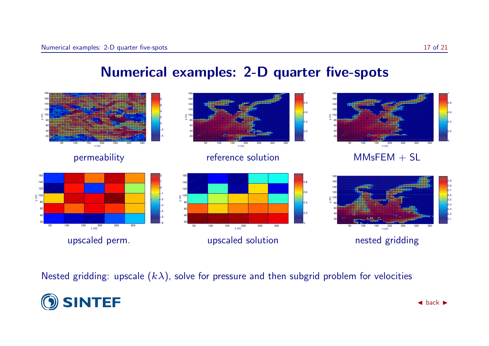



Nested gridding: upscale  $(k\lambda)$ , solve for pressure and then subgrid problem for velocities

![](_page_17_Picture_4.jpeg)

0.4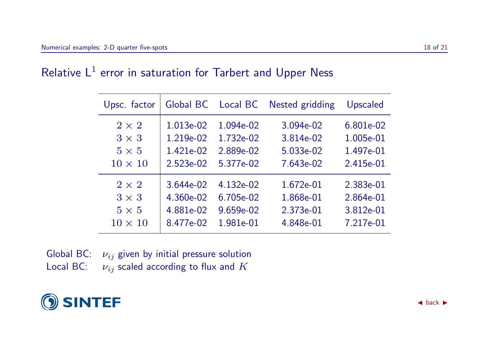|  |  | Relative $L^1$ error in saturation for Tarbert and Upper Ness |  |  |  |  |
|--|--|---------------------------------------------------------------|--|--|--|--|
|--|--|---------------------------------------------------------------|--|--|--|--|

| Upsc. factor   |           | Global BC Local BC | Nested gridding | Upscaled  |
|----------------|-----------|--------------------|-----------------|-----------|
| $2 \times 2$   | 1.013e-02 | 1.094e-02          | 3.094e-02       | 6.801e-02 |
| $3 \times 3$   | 1.219e-02 | 1.732e-02          | 3.814e-02       | 1.005e-01 |
| $5 \times 5$   | 1.421e-02 | 2.889e-02          | 5.033e-02       | 1.497e-01 |
| $10 \times 10$ | 2.523e-02 | 5.377e-02          | 7.643e-02       | 2.415e-01 |
| $2 \times 2$   | 3.644e-02 | 4.132e-02          | 1.672e-01       | 2.383e-01 |
| $3 \times 3$   | 4.360e-02 | 6.705e-02          | 1.868e-01       | 2.864e-01 |
| $5 \times 5$   | 4.881e-02 | 9.659e-02          | 2.373e-01       | 3.812e-01 |
| $10 \times 10$ | 8.477e-02 | 1.981e-01          | 4.848e-01       | 7.217e-01 |

Global BC:  $\nu_{ij}$  given by initial pressure solution

Local BC:  $\nu_{ij}$  scaled according to flux and  $K$ 

![](_page_18_Picture_5.jpeg)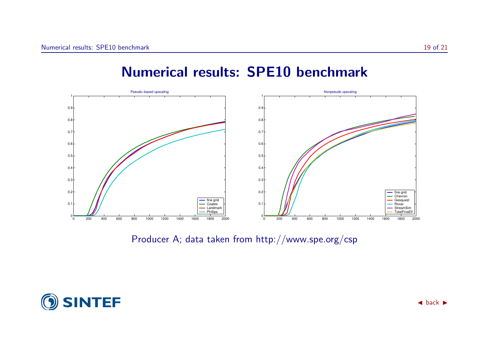### Numerical results: SPE10 benchmark

![](_page_19_Figure_3.jpeg)

Producer A; data taken from http://www.spe.org/csp

![](_page_19_Picture_5.jpeg)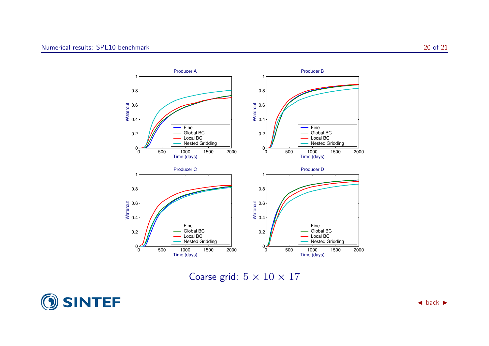![](_page_20_Figure_1.jpeg)

Coarse grid:  $5 \times 10 \times 17$ 

![](_page_20_Picture_3.jpeg)